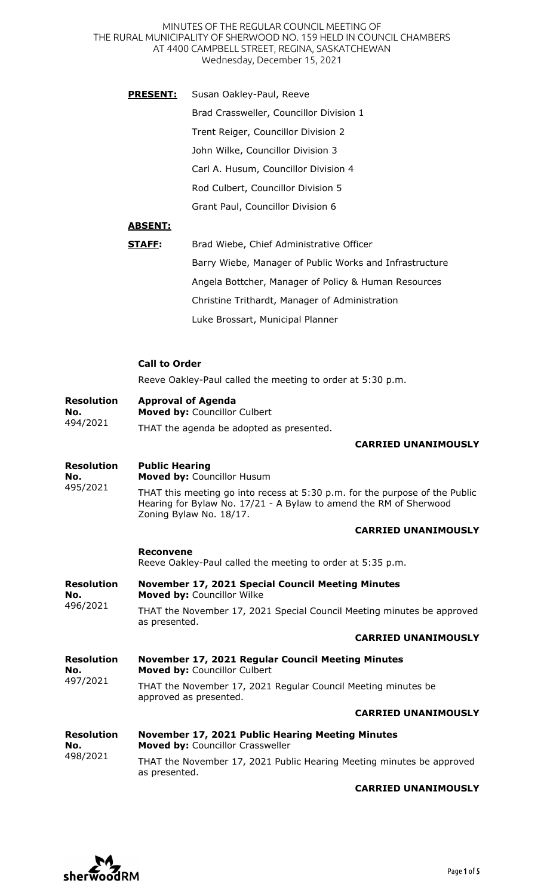MINUTES OF THE REGULAR COUNCIL MEETING OF THE RURAL MUNICIPALITY OF SHERWOOD NO. 159 HELD IN COUNCIL CHAMBERS AT 4400 CAMPBELL STREET, REGINA, SASKATCHEWAN Wednesday, December 15, 2021

| <b>PRESENT:</b> | Susan Oakley-Paul, Reeve                |
|-----------------|-----------------------------------------|
|                 | Brad Crassweller, Councillor Division 1 |
|                 | Trent Reiger, Councillor Division 2     |
|                 | John Wilke, Councillor Division 3       |
|                 | Carl A. Husum, Councillor Division 4    |
|                 | Rod Culbert, Councillor Division 5      |
|                 | Grant Paul, Councillor Division 6       |
|                 |                                         |

# **ABSENT:**

| STAFF: | Brad Wiebe, Chief Administrative Officer                |
|--------|---------------------------------------------------------|
|        | Barry Wiebe, Manager of Public Works and Infrastructure |
|        | Angela Bottcher, Manager of Policy & Human Resources    |
|        | Christine Trithardt, Manager of Administration          |
|        | Luke Brossart, Municipal Planner                        |

## **Call to Order**

Reeve Oakley-Paul called the meeting to order at 5:30 p.m.

| <b>Resolution</b><br>No.             | <b>Approval of Agenda</b><br>Moved by: Councillor Culbert                                                                                                                   |
|--------------------------------------|-----------------------------------------------------------------------------------------------------------------------------------------------------------------------------|
| 494/2021                             | THAT the agenda be adopted as presented.                                                                                                                                    |
|                                      | <b>CARRIED UNANIMOUSLY</b>                                                                                                                                                  |
| <b>Resolution</b><br>No.<br>495/2021 | <b>Public Hearing</b><br><b>Moved by: Councillor Husum</b>                                                                                                                  |
|                                      | THAT this meeting go into recess at 5:30 p.m. for the purpose of the Public<br>Hearing for Bylaw No. 17/21 - A Bylaw to amend the RM of Sherwood<br>Zoning Bylaw No. 18/17. |
|                                      | <b>CARRIED UNANIMOUSLY</b>                                                                                                                                                  |
|                                      | <b>Reconvene</b><br>Reeve Oakley-Paul called the meeting to order at 5:35 p.m.                                                                                              |
| <b>Resolution</b><br>No.<br>496/2021 | November 17, 2021 Special Council Meeting Minutes<br>Moved by: Councillor Wilke                                                                                             |
|                                      | THAT the November 17, 2021 Special Council Meeting minutes be approved<br>as presented.                                                                                     |
|                                      | <b>CARRIED UNANIMOUSLY</b>                                                                                                                                                  |

| <b>Resolution</b><br>No. | November 17, 2021 Regular Council Meeting Minutes<br>Moved by: Councillor Culbert       |  |
|--------------------------|-----------------------------------------------------------------------------------------|--|
| 497/2021                 | THAT the November 17, 2021 Regular Council Meeting minutes be<br>approved as presented. |  |
|                          | <b>CARRIED UNANIMOUSLY</b>                                                              |  |
| <b>Resolution</b>        | November 17, 2021 Public Hearing Meeting Minutes                                        |  |

**No.**  498/2021 **Moved by:** Councillor Crassweller THAT the November 17, 2021 Public Hearing Meeting minutes be approved as presented.

## **CARRIED UNANIMOUSLY**

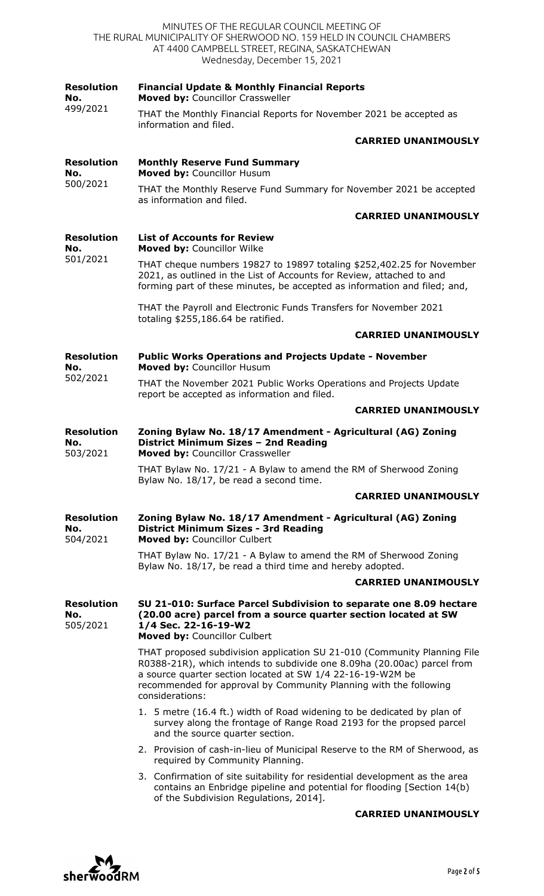|                                      | MINUTES OF THE REGULAR COUNCIL MEETING OF<br>THE RURAL MUNICIPALITY OF SHERWOOD NO. 159 HELD IN COUNCIL CHAMBERS<br>AT 4400 CAMPBELL STREET, REGINA, SASKATCHEWAN<br>Wednesday, December 15, 2021                                                                                                         |
|--------------------------------------|-----------------------------------------------------------------------------------------------------------------------------------------------------------------------------------------------------------------------------------------------------------------------------------------------------------|
| <b>Resolution</b><br>No.<br>499/2021 | <b>Financial Update &amp; Monthly Financial Reports</b><br>Moved by: Councillor Crassweller                                                                                                                                                                                                               |
|                                      | THAT the Monthly Financial Reports for November 2021 be accepted as<br>information and filed.                                                                                                                                                                                                             |
|                                      | <b>CARRIED UNANIMOUSLY</b>                                                                                                                                                                                                                                                                                |
| <b>Resolution</b><br>No.<br>500/2021 | <b>Monthly Reserve Fund Summary</b><br>Moved by: Councillor Husum                                                                                                                                                                                                                                         |
|                                      | THAT the Monthly Reserve Fund Summary for November 2021 be accepted<br>as information and filed.                                                                                                                                                                                                          |
|                                      | <b>CARRIED UNANIMOUSLY</b>                                                                                                                                                                                                                                                                                |
| <b>Resolution</b><br>No.<br>501/2021 | <b>List of Accounts for Review</b><br>Moved by: Councillor Wilke                                                                                                                                                                                                                                          |
|                                      | THAT cheque numbers 19827 to 19897 totaling \$252,402.25 for November<br>2021, as outlined in the List of Accounts for Review, attached to and<br>forming part of these minutes, be accepted as information and filed; and,                                                                               |
|                                      | THAT the Payroll and Electronic Funds Transfers for November 2021<br>totaling \$255,186.64 be ratified.                                                                                                                                                                                                   |
|                                      | <b>CARRIED UNANIMOUSLY</b>                                                                                                                                                                                                                                                                                |
| <b>Resolution</b><br>No.             | <b>Public Works Operations and Projects Update - November</b><br>Moved by: Councillor Husum                                                                                                                                                                                                               |
| 502/2021                             | THAT the November 2021 Public Works Operations and Projects Update<br>report be accepted as information and filed.                                                                                                                                                                                        |
|                                      | <b>CARRIED UNANIMOUSLY</b>                                                                                                                                                                                                                                                                                |
| <b>Resolution</b><br>No.<br>503/2021 | Zoning Bylaw No. 18/17 Amendment - Agricultural (AG) Zoning<br>District Minimum Sizes - 2nd Reading<br>Moved by: Councillor Crassweller                                                                                                                                                                   |
|                                      | THAT Bylaw No. 17/21 - A Bylaw to amend the RM of Sherwood Zoning<br>Bylaw No. 18/17, be read a second time.                                                                                                                                                                                              |
|                                      | <b>CARRIED UNANIMOUSLY</b>                                                                                                                                                                                                                                                                                |
| <b>Resolution</b><br>No.<br>504/2021 | Zoning Bylaw No. 18/17 Amendment - Agricultural (AG) Zoning<br><b>District Minimum Sizes - 3rd Reading</b><br>Moved by: Councillor Culbert                                                                                                                                                                |
|                                      | THAT Bylaw No. 17/21 - A Bylaw to amend the RM of Sherwood Zoning<br>Bylaw No. 18/17, be read a third time and hereby adopted.                                                                                                                                                                            |
|                                      | <b>CARRIED UNANIMOUSLY</b>                                                                                                                                                                                                                                                                                |
| <b>Resolution</b><br>No.<br>505/2021 | SU 21-010: Surface Parcel Subdivision to separate one 8.09 hectare<br>(20.00 acre) parcel from a source quarter section located at SW<br>1/4 Sec. 22-16-19-W2<br>Moved by: Councillor Culbert                                                                                                             |
|                                      | THAT proposed subdivision application SU 21-010 (Community Planning File<br>R0388-21R), which intends to subdivide one 8.09ha (20.00ac) parcel from<br>a source quarter section located at SW 1/4 22-16-19-W2M be<br>recommended for approval by Community Planning with the following<br>considerations: |
|                                      | 1. 5 metre (16.4 ft.) width of Road widening to be dedicated by plan of<br>survey along the frontage of Range Road 2193 for the propsed parcel<br>and the source quarter section.                                                                                                                         |
|                                      | 2. Provision of cash-in-lieu of Municipal Reserve to the RM of Sherwood, as<br>required by Community Planning.                                                                                                                                                                                            |
|                                      | 3. Confirmation of site suitability for residential development as the area<br>contains an Enbridge pipeline and potential for flooding [Section 14(b)<br>of the Subdivision Regulations, 2014].                                                                                                          |
|                                      | <b>CARRIED UNANIMOUSLY</b>                                                                                                                                                                                                                                                                                |

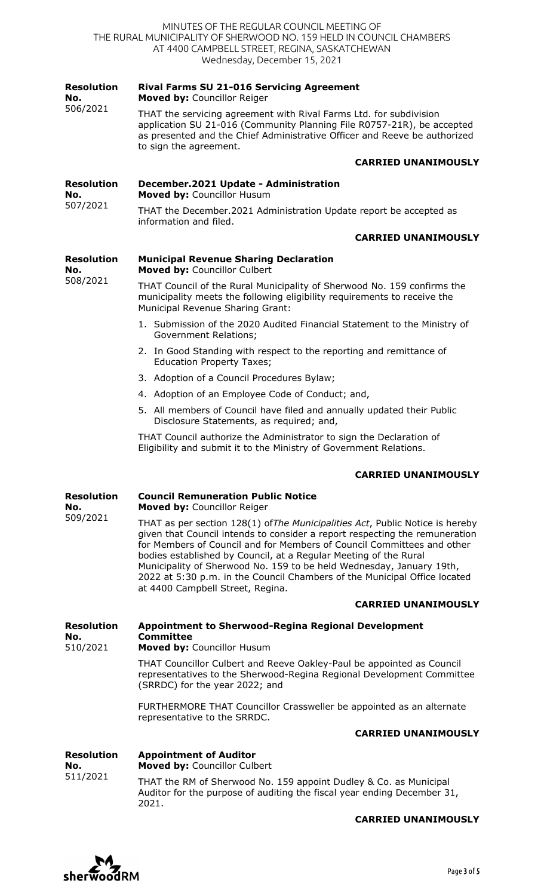| 507/2021<br><b>Resolution</b><br>No.<br>508/2021 | Moved by: Councillor Husum<br>THAT the December.2021 Administration Update report be accepted as<br>information and filed.<br><b>CARRIED UNANIMOUSLY</b><br><b>Municipal Revenue Sharing Declaration</b><br>Moved by: Councillor Culbert<br>THAT Council of the Rural Municipality of Sherwood No. 159 confirms the<br>municipality meets the following eligibility requirements to receive the<br>Municipal Revenue Sharing Grant:<br>1. Submission of the 2020 Audited Financial Statement to the Ministry of<br>Government Relations;<br>2. In Good Standing with respect to the reporting and remittance of<br><b>Education Property Taxes;</b><br>3. Adoption of a Council Procedures Bylaw;<br>4. Adoption of an Employee Code of Conduct; and,<br>5. All members of Council have filed and annually updated their Public<br>Disclosure Statements, as required; and,<br>THAT Council authorize the Administrator to sign the Declaration of<br>Eligibility and submit it to the Ministry of Government Relations. |
|--------------------------------------------------|--------------------------------------------------------------------------------------------------------------------------------------------------------------------------------------------------------------------------------------------------------------------------------------------------------------------------------------------------------------------------------------------------------------------------------------------------------------------------------------------------------------------------------------------------------------------------------------------------------------------------------------------------------------------------------------------------------------------------------------------------------------------------------------------------------------------------------------------------------------------------------------------------------------------------------------------------------------------------------------------------------------------------|
|                                                  |                                                                                                                                                                                                                                                                                                                                                                                                                                                                                                                                                                                                                                                                                                                                                                                                                                                                                                                                                                                                                          |
|                                                  |                                                                                                                                                                                                                                                                                                                                                                                                                                                                                                                                                                                                                                                                                                                                                                                                                                                                                                                                                                                                                          |
|                                                  |                                                                                                                                                                                                                                                                                                                                                                                                                                                                                                                                                                                                                                                                                                                                                                                                                                                                                                                                                                                                                          |
|                                                  |                                                                                                                                                                                                                                                                                                                                                                                                                                                                                                                                                                                                                                                                                                                                                                                                                                                                                                                                                                                                                          |
|                                                  |                                                                                                                                                                                                                                                                                                                                                                                                                                                                                                                                                                                                                                                                                                                                                                                                                                                                                                                                                                                                                          |
|                                                  |                                                                                                                                                                                                                                                                                                                                                                                                                                                                                                                                                                                                                                                                                                                                                                                                                                                                                                                                                                                                                          |
|                                                  |                                                                                                                                                                                                                                                                                                                                                                                                                                                                                                                                                                                                                                                                                                                                                                                                                                                                                                                                                                                                                          |
|                                                  |                                                                                                                                                                                                                                                                                                                                                                                                                                                                                                                                                                                                                                                                                                                                                                                                                                                                                                                                                                                                                          |
|                                                  |                                                                                                                                                                                                                                                                                                                                                                                                                                                                                                                                                                                                                                                                                                                                                                                                                                                                                                                                                                                                                          |
|                                                  |                                                                                                                                                                                                                                                                                                                                                                                                                                                                                                                                                                                                                                                                                                                                                                                                                                                                                                                                                                                                                          |
|                                                  |                                                                                                                                                                                                                                                                                                                                                                                                                                                                                                                                                                                                                                                                                                                                                                                                                                                                                                                                                                                                                          |
| <b>Resolution</b><br>No.                         | December.2021 Update - Administration                                                                                                                                                                                                                                                                                                                                                                                                                                                                                                                                                                                                                                                                                                                                                                                                                                                                                                                                                                                    |
|                                                  | <b>CARRIED UNANIMOUSLY</b>                                                                                                                                                                                                                                                                                                                                                                                                                                                                                                                                                                                                                                                                                                                                                                                                                                                                                                                                                                                               |
|                                                  | THAT the servicing agreement with Rival Farms Ltd. for subdivision<br>application SU 21-016 (Community Planning File R0757-21R), be accepted<br>as presented and the Chief Administrative Officer and Reeve be authorized<br>to sign the agreement.                                                                                                                                                                                                                                                                                                                                                                                                                                                                                                                                                                                                                                                                                                                                                                      |
| <b>Resolution</b><br>No.<br>506/2021             | <b>Rival Farms SU 21-016 Servicing Agreement</b><br>Moved by: Councillor Reiger                                                                                                                                                                                                                                                                                                                                                                                                                                                                                                                                                                                                                                                                                                                                                                                                                                                                                                                                          |
|                                                  | MINUTES OF THE REGULAR COUNCIL MEETING OF<br>THE RURAL MUNICIPALITY OF SHERWOOD NO. 159 HELD IN COUNCIL CHAMBERS<br>AT 4400 CAMPBELL STREET, REGINA, SASKATCHEWAN<br>Wednesday, December 15, 2021                                                                                                                                                                                                                                                                                                                                                                                                                                                                                                                                                                                                                                                                                                                                                                                                                        |

509/2021 THAT as per section 128(1) of*The Municipalities Act*, Public Notice is hereby given that Council intends to consider a report respecting the remuneration for Members of Council and for Members of Council Committees and other bodies established by Council, at a Regular Meeting of the Rural Municipality of Sherwood No. 159 to be held Wednesday, January 19th, 2022 at 5:30 p.m. in the Council Chambers of the Municipal Office located at 4400 Campbell Street, Regina.

### **CARRIED UNANIMOUSLY**

**Resolution No.**  510/2021 **Appointment to Sherwood-Regina Regional Development Committee Moved by:** Councillor Husum

> THAT Councillor Culbert and Reeve Oakley-Paul be appointed as Council representatives to the Sherwood-Regina Regional Development Committee (SRRDC) for the year 2022; and

FURTHERMORE THAT Councillor Crassweller be appointed as an alternate representative to the SRRDC.

### **CARRIED UNANIMOUSLY**

#### **Resolution No.**  511/2021 **Appointment of Auditor Moved by:** Councillor Culbert THAT the RM of Sherwood No. 159 appoint Dudley & Co. as Municipal Auditor for the purpose of auditing the fiscal year ending December 31, 2021.

### **CARRIED UNANIMOUSLY**

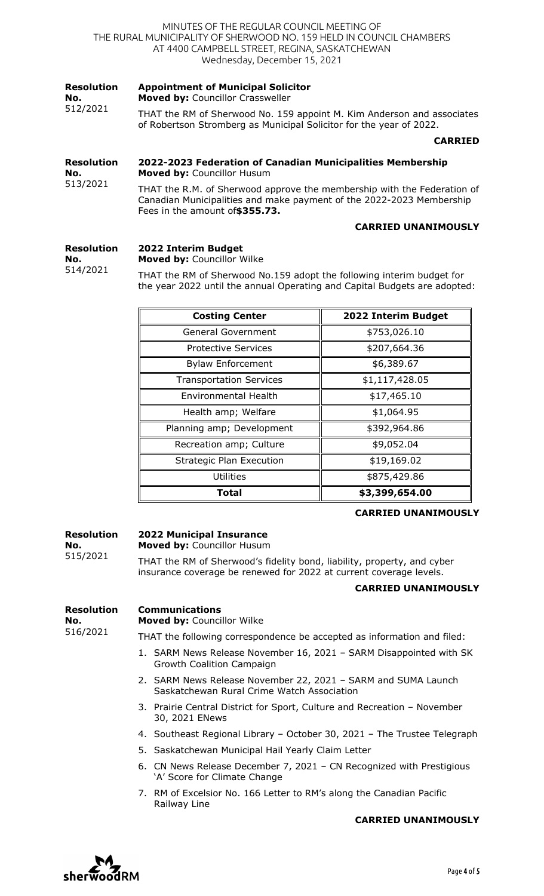MINUTES OF THE REGULAR COUNCIL MEETING OF THE RURAL MUNICIPALITY OF SHERWOOD NO. 159 HELD IN COUNCIL CHAMBERS AT 4400 CAMPBELL STREET, REGINA, SASKATCHEWAN Wednesday, December 15, 2021

| <b>Resolution</b><br>No.<br>512/2021        | <b>Appointment of Municipal Solicitor</b><br>Moved by: Councillor Crassweller                                                                 |  |
|---------------------------------------------|-----------------------------------------------------------------------------------------------------------------------------------------------|--|
|                                             | THAT the RM of Sherwood No. 159 appoint M. Kim Anderson and associates<br>of Robertson Stromberg as Municipal Solicitor for the year of 2022. |  |
|                                             | <b>CARRIED</b>                                                                                                                                |  |
| <b>Resolution</b><br>No.<br><b>F13/3031</b> | 2022-2023 Federation of Canadian Municipalities Membership<br><b>Moved by: Councillor Husum</b>                                               |  |

513/2021 THAT the R.M. of Sherwood approve the membership with the Federation of Canadian Municipalities and make payment of the 2022-2023 Membership Fees in the amount of**\$355.73.**

### **CARRIED UNANIMOUSLY**

#### **Resolution No.**  514/2021 **2022 Interim Budget Moved by:** Councillor Wilke THAT the RM of Sherwood No.159 adopt the following interim budget for the year 2022 until the annual Operating and Capital Budgets are adopted:

| <b>Costing Center</b>           | 2022 Interim Budget |
|---------------------------------|---------------------|
| <b>General Government</b>       | \$753,026.10        |
| <b>Protective Services</b>      | \$207,664.36        |
| <b>Bylaw Enforcement</b>        | \$6,389.67          |
| <b>Transportation Services</b>  | \$1,117,428.05      |
| Environmental Health            | \$17,465.10         |
| Health amp; Welfare             | \$1,064.95          |
| Planning amp; Development       | \$392,964.86        |
| Recreation amp; Culture         | \$9,052.04          |
| <b>Strategic Plan Execution</b> | \$19,169.02         |
| <b>Utilities</b>                | \$875,429.86        |
| Total                           | \$3,399,654.00      |

### **CARRIED UNANIMOUSLY**

**Resolution No.**  515/2021

# **2022 Municipal Insurance**

**Moved by:** Councillor Husum

THAT the RM of Sherwood's fidelity bond, liability, property, and cyber insurance coverage be renewed for 2022 at current coverage levels.

### **CARRIED UNANIMOUSLY**

#### **Resolution Communications**

**No.**  516/2021

## **Moved by:** Councillor Wilke

THAT the following correspondence be accepted as information and filed:

- 1. SARM News Release November 16, 2021 SARM Disappointed with SK Growth Coalition Campaign
- 2. SARM News Release November 22, 2021 SARM and SUMA Launch Saskatchewan Rural Crime Watch Association
- 3. Prairie Central District for Sport, Culture and Recreation November 30, 2021 ENews
- 4. Southeast Regional Library October 30, 2021 The Trustee Telegraph
- 5. Saskatchewan Municipal Hail Yearly Claim Letter
- 6. CN News Release December 7, 2021 CN Recognized with Prestigious 'A' Score for Climate Change
- 7. RM of Excelsior No. 166 Letter to RM's along the Canadian Pacific Railway Line

### **CARRIED UNANIMOUSLY**